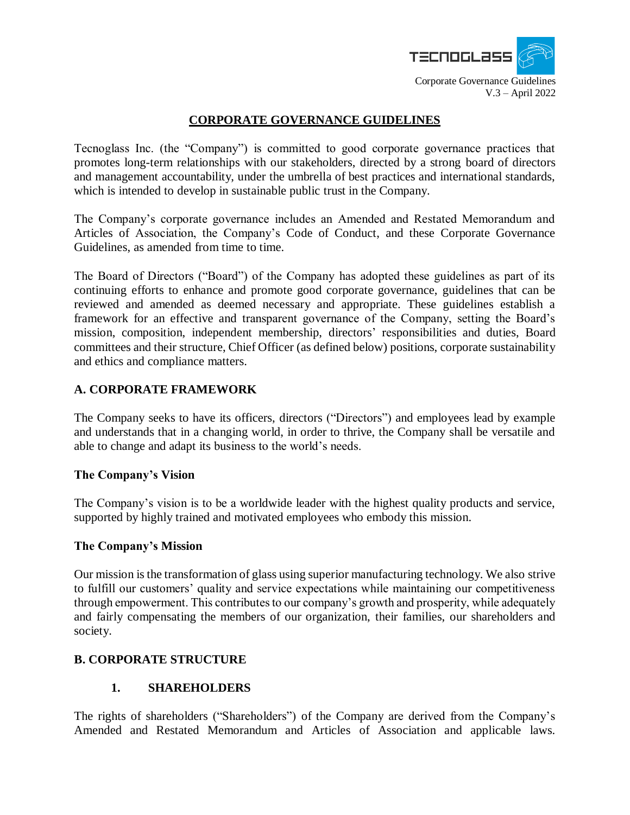

## **CORPORATE GOVERNANCE GUIDELINES**

Tecnoglass Inc. (the "Company") is committed to good corporate governance practices that promotes long-term relationships with our stakeholders, directed by a strong board of directors and management accountability, under the umbrella of best practices and international standards, which is intended to develop in sustainable public trust in the Company.

The Company's corporate governance includes an Amended and Restated Memorandum and Articles of Association, the Company's Code of Conduct, and these Corporate Governance Guidelines, as amended from time to time.

The Board of Directors ("Board") of the Company has adopted these guidelines as part of its continuing efforts to enhance and promote good corporate governance, guidelines that can be reviewed and amended as deemed necessary and appropriate. These guidelines establish a framework for an effective and transparent governance of the Company, setting the Board's mission, composition, independent membership, directors' responsibilities and duties, Board committees and their structure, Chief Officer (as defined below) positions, corporate sustainability and ethics and compliance matters.

## **A. CORPORATE FRAMEWORK**

The Company seeks to have its officers, directors ("Directors") and employees lead by example and understands that in a changing world, in order to thrive, the Company shall be versatile and able to change and adapt its business to the world's needs.

## **The Company's Vision**

The Company's vision is to be a worldwide leader with the highest quality products and service, supported by highly trained and motivated employees who embody this mission.

#### **The Company's Mission**

Our mission is the transformation of glass using superior manufacturing technology. We also strive to fulfill our customers' quality and service expectations while maintaining our competitiveness through empowerment. This contributes to our company's growth and prosperity, while adequately and fairly compensating the members of our organization, their families, our shareholders and society.

## **B. CORPORATE STRUCTURE**

## **1. SHAREHOLDERS**

The rights of shareholders ("Shareholders") of the Company are derived from the Company's Amended and Restated Memorandum and Articles of Association and applicable laws.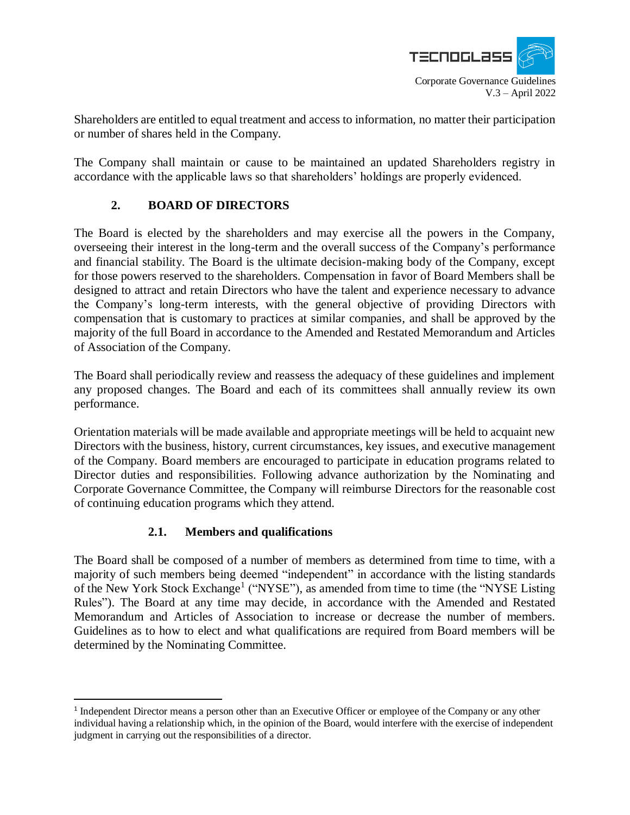

V.3 – April 2022

Shareholders are entitled to equal treatment and access to information, no matter their participation or number of shares held in the Company.

The Company shall maintain or cause to be maintained an updated Shareholders registry in accordance with the applicable laws so that shareholders' holdings are properly evidenced.

# **2. BOARD OF DIRECTORS**

The Board is elected by the shareholders and may exercise all the powers in the Company, overseeing their interest in the long-term and the overall success of the Company's performance and financial stability. The Board is the ultimate decision-making body of the Company, except for those powers reserved to the shareholders. Compensation in favor of Board Members shall be designed to attract and retain Directors who have the talent and experience necessary to advance the Company's long-term interests, with the general objective of providing Directors with compensation that is customary to practices at similar companies, and shall be approved by the majority of the full Board in accordance to the Amended and Restated Memorandum and Articles of Association of the Company.

The Board shall periodically review and reassess the adequacy of these guidelines and implement any proposed changes. The Board and each of its committees shall annually review its own performance.

Orientation materials will be made available and appropriate meetings will be held to acquaint new Directors with the business, history, current circumstances, key issues, and executive management of the Company. Board members are encouraged to participate in education programs related to Director duties and responsibilities. Following advance authorization by the Nominating and Corporate Governance Committee, the Company will reimburse Directors for the reasonable cost of continuing education programs which they attend.

## **2.1. Members and qualifications**

 $\overline{a}$ 

The Board shall be composed of a number of members as determined from time to time, with a majority of such members being deemed "independent" in accordance with the listing standards of the New York Stock Exchange<sup>1</sup> ("NYSE"), as amended from time to time (the "NYSE Listing Rules"). The Board at any time may decide, in accordance with the Amended and Restated Memorandum and Articles of Association to increase or decrease the number of members. Guidelines as to how to elect and what qualifications are required from Board members will be determined by the Nominating Committee.

<sup>&</sup>lt;sup>1</sup> Independent Director means a person other than an Executive Officer or employee of the Company or any other individual having a relationship which, in the opinion of the Board, would interfere with the exercise of independent judgment in carrying out the responsibilities of a director.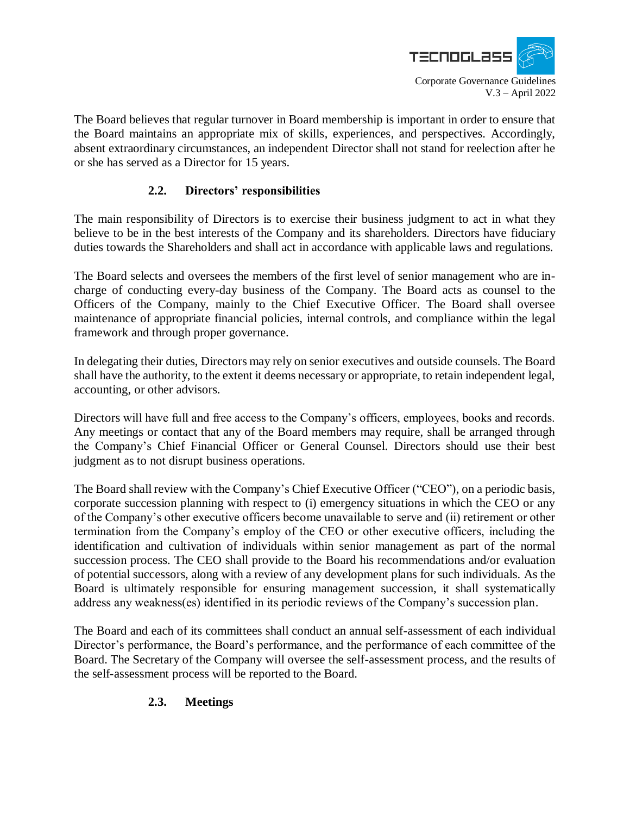

The Board believes that regular turnover in Board membership is important in order to ensure that the Board maintains an appropriate mix of skills, experiences, and perspectives. Accordingly, absent extraordinary circumstances, an independent Director shall not stand for reelection after he or she has served as a Director for 15 years.

## **2.2. Directors' responsibilities**

The main responsibility of Directors is to exercise their business judgment to act in what they believe to be in the best interests of the Company and its shareholders. Directors have fiduciary duties towards the Shareholders and shall act in accordance with applicable laws and regulations.

The Board selects and oversees the members of the first level of senior management who are incharge of conducting every-day business of the Company. The Board acts as counsel to the Officers of the Company, mainly to the Chief Executive Officer. The Board shall oversee maintenance of appropriate financial policies, internal controls, and compliance within the legal framework and through proper governance.

In delegating their duties, Directors may rely on senior executives and outside counsels. The Board shall have the authority, to the extent it deems necessary or appropriate, to retain independent legal, accounting, or other advisors.

Directors will have full and free access to the Company's officers, employees, books and records. Any meetings or contact that any of the Board members may require, shall be arranged through the Company's Chief Financial Officer or General Counsel. Directors should use their best judgment as to not disrupt business operations.

The Board shall review with the Company's Chief Executive Officer ("CEO"), on a periodic basis, corporate succession planning with respect to (i) emergency situations in which the CEO or any of the Company's other executive officers become unavailable to serve and (ii) retirement or other termination from the Company's employ of the CEO or other executive officers, including the identification and cultivation of individuals within senior management as part of the normal succession process. The CEO shall provide to the Board his recommendations and/or evaluation of potential successors, along with a review of any development plans for such individuals. As the Board is ultimately responsible for ensuring management succession, it shall systematically address any weakness(es) identified in its periodic reviews of the Company's succession plan.

The Board and each of its committees shall conduct an annual self-assessment of each individual Director's performance, the Board's performance, and the performance of each committee of the Board. The Secretary of the Company will oversee the self-assessment process, and the results of the self-assessment process will be reported to the Board.

# **2.3. Meetings**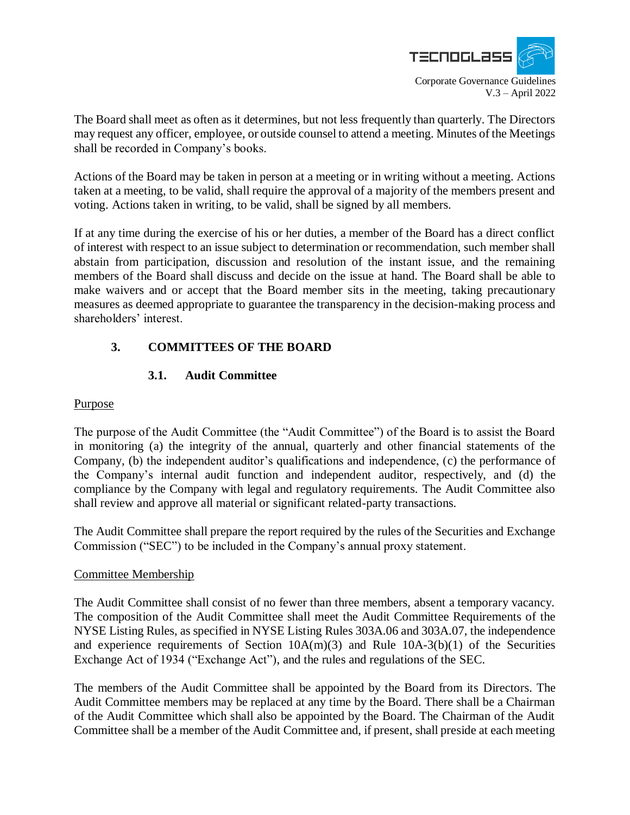

The Board shall meet as often as it determines, but not less frequently than quarterly. The Directors may request any officer, employee, or outside counsel to attend a meeting. Minutes of the Meetings shall be recorded in Company's books.

Actions of the Board may be taken in person at a meeting or in writing without a meeting. Actions taken at a meeting, to be valid, shall require the approval of a majority of the members present and voting. Actions taken in writing, to be valid, shall be signed by all members.

If at any time during the exercise of his or her duties, a member of the Board has a direct conflict of interest with respect to an issue subject to determination or recommendation, such member shall abstain from participation, discussion and resolution of the instant issue, and the remaining members of the Board shall discuss and decide on the issue at hand. The Board shall be able to make waivers and or accept that the Board member sits in the meeting, taking precautionary measures as deemed appropriate to guarantee the transparency in the decision-making process and shareholders' interest.

# **3. COMMITTEES OF THE BOARD**

# **3.1. Audit Committee**

## Purpose

The purpose of the Audit Committee (the "Audit Committee") of the Board is to assist the Board in monitoring (a) the integrity of the annual, quarterly and other financial statements of the Company, (b) the independent auditor's qualifications and independence, (c) the performance of the Company's internal audit function and independent auditor, respectively, and (d) the compliance by the Company with legal and regulatory requirements. The Audit Committee also shall review and approve all material or significant related-party transactions.

The Audit Committee shall prepare the report required by the rules of the Securities and Exchange Commission ("SEC") to be included in the Company's annual proxy statement.

## Committee Membership

The Audit Committee shall consist of no fewer than three members, absent a temporary vacancy. The composition of the Audit Committee shall meet the Audit Committee Requirements of the NYSE Listing Rules, as specified in NYSE Listing Rules 303A.06 and 303A.07, the independence and experience requirements of Section  $10A(m)(3)$  and Rule  $10A-3(b)(1)$  of the Securities Exchange Act of 1934 ("Exchange Act"), and the rules and regulations of the SEC.

The members of the Audit Committee shall be appointed by the Board from its Directors. The Audit Committee members may be replaced at any time by the Board. There shall be a Chairman of the Audit Committee which shall also be appointed by the Board. The Chairman of the Audit Committee shall be a member of the Audit Committee and, if present, shall preside at each meeting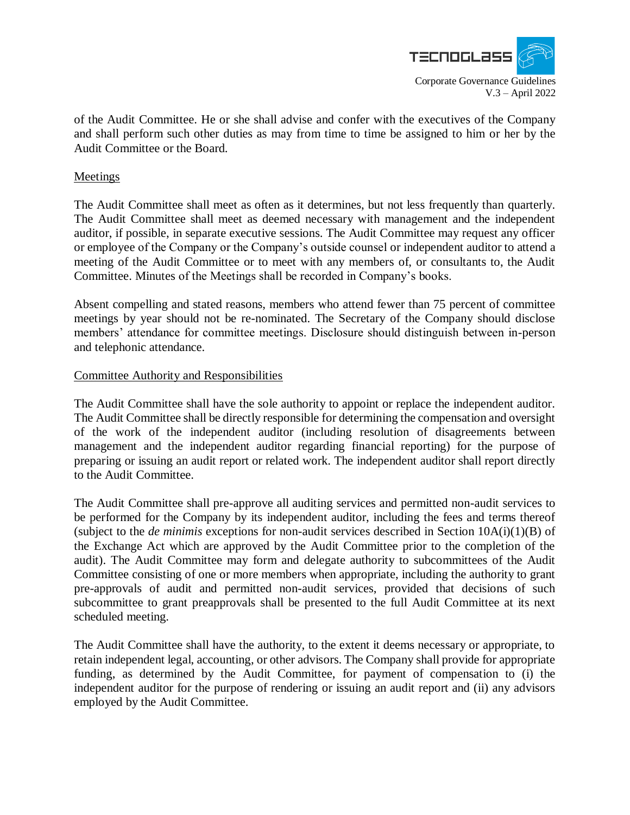

of the Audit Committee. He or she shall advise and confer with the executives of the Company and shall perform such other duties as may from time to time be assigned to him or her by the Audit Committee or the Board.

## Meetings

The Audit Committee shall meet as often as it determines, but not less frequently than quarterly. The Audit Committee shall meet as deemed necessary with management and the independent auditor, if possible, in separate executive sessions. The Audit Committee may request any officer or employee of the Company or the Company's outside counsel or independent auditor to attend a meeting of the Audit Committee or to meet with any members of, or consultants to, the Audit Committee. Minutes of the Meetings shall be recorded in Company's books.

Absent compelling and stated reasons, members who attend fewer than 75 percent of committee meetings by year should not be re-nominated. The Secretary of the Company should disclose members' attendance for committee meetings. Disclosure should distinguish between in-person and telephonic attendance.

#### Committee Authority and Responsibilities

The Audit Committee shall have the sole authority to appoint or replace the independent auditor. The Audit Committee shall be directly responsible for determining the compensation and oversight of the work of the independent auditor (including resolution of disagreements between management and the independent auditor regarding financial reporting) for the purpose of preparing or issuing an audit report or related work. The independent auditor shall report directly to the Audit Committee.

The Audit Committee shall pre-approve all auditing services and permitted non-audit services to be performed for the Company by its independent auditor, including the fees and terms thereof (subject to the *de minimis* exceptions for non-audit services described in Section 10A(i)(1)(B) of the Exchange Act which are approved by the Audit Committee prior to the completion of the audit). The Audit Committee may form and delegate authority to subcommittees of the Audit Committee consisting of one or more members when appropriate, including the authority to grant pre-approvals of audit and permitted non-audit services, provided that decisions of such subcommittee to grant preapprovals shall be presented to the full Audit Committee at its next scheduled meeting.

The Audit Committee shall have the authority, to the extent it deems necessary or appropriate, to retain independent legal, accounting, or other advisors. The Company shall provide for appropriate funding, as determined by the Audit Committee, for payment of compensation to (i) the independent auditor for the purpose of rendering or issuing an audit report and (ii) any advisors employed by the Audit Committee.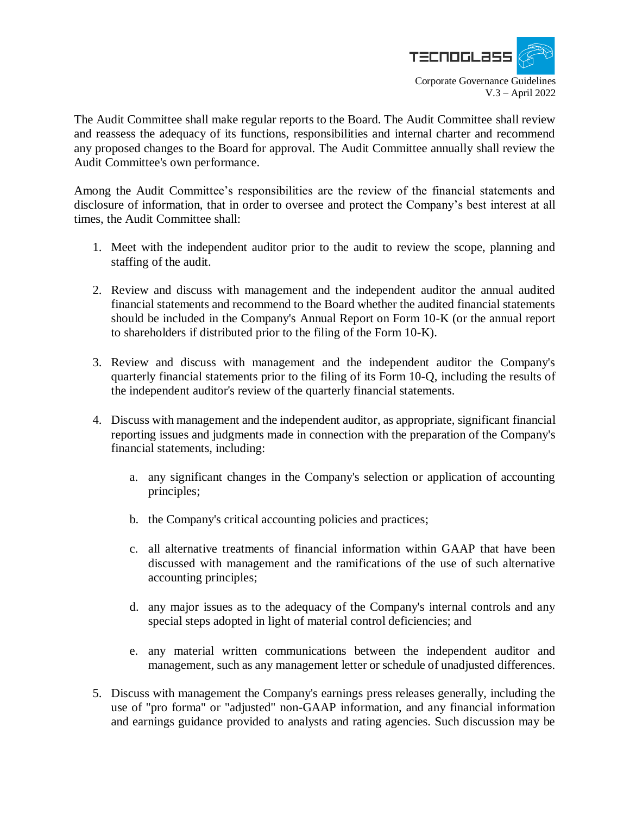

The Audit Committee shall make regular reports to the Board. The Audit Committee shall review and reassess the adequacy of its functions, responsibilities and internal charter and recommend any proposed changes to the Board for approval. The Audit Committee annually shall review the Audit Committee's own performance.

Among the Audit Committee's responsibilities are the review of the financial statements and disclosure of information, that in order to oversee and protect the Company's best interest at all times, the Audit Committee shall:

- 1. Meet with the independent auditor prior to the audit to review the scope, planning and staffing of the audit.
- 2. Review and discuss with management and the independent auditor the annual audited financial statements and recommend to the Board whether the audited financial statements should be included in the Company's Annual Report on Form 10-K (or the annual report to shareholders if distributed prior to the filing of the Form 10-K).
- 3. Review and discuss with management and the independent auditor the Company's quarterly financial statements prior to the filing of its Form 10-Q, including the results of the independent auditor's review of the quarterly financial statements.
- 4. Discuss with management and the independent auditor, as appropriate, significant financial reporting issues and judgments made in connection with the preparation of the Company's financial statements, including:
	- a. any significant changes in the Company's selection or application of accounting principles;
	- b. the Company's critical accounting policies and practices;
	- c. all alternative treatments of financial information within GAAP that have been discussed with management and the ramifications of the use of such alternative accounting principles;
	- d. any major issues as to the adequacy of the Company's internal controls and any special steps adopted in light of material control deficiencies; and
	- e. any material written communications between the independent auditor and management, such as any management letter or schedule of unadjusted differences.
- 5. Discuss with management the Company's earnings press releases generally, including the use of "pro forma" or "adjusted" non-GAAP information, and any financial information and earnings guidance provided to analysts and rating agencies. Such discussion may be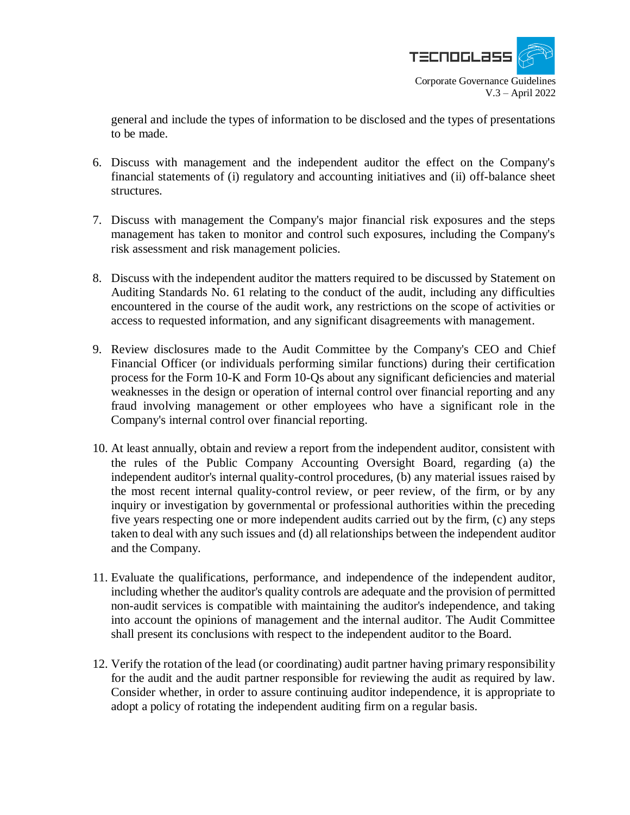

V.3 – April 2022

general and include the types of information to be disclosed and the types of presentations to be made.

- 6. Discuss with management and the independent auditor the effect on the Company's financial statements of (i) regulatory and accounting initiatives and (ii) off-balance sheet structures.
- 7. Discuss with management the Company's major financial risk exposures and the steps management has taken to monitor and control such exposures, including the Company's risk assessment and risk management policies.
- 8. Discuss with the independent auditor the matters required to be discussed by Statement on Auditing Standards No. 61 relating to the conduct of the audit, including any difficulties encountered in the course of the audit work, any restrictions on the scope of activities or access to requested information, and any significant disagreements with management.
- 9. Review disclosures made to the Audit Committee by the Company's CEO and Chief Financial Officer (or individuals performing similar functions) during their certification process for the Form 10-K and Form 10-Qs about any significant deficiencies and material weaknesses in the design or operation of internal control over financial reporting and any fraud involving management or other employees who have a significant role in the Company's internal control over financial reporting.
- 10. At least annually, obtain and review a report from the independent auditor, consistent with the rules of the Public Company Accounting Oversight Board, regarding (a) the independent auditor's internal quality-control procedures, (b) any material issues raised by the most recent internal quality-control review, or peer review, of the firm, or by any inquiry or investigation by governmental or professional authorities within the preceding five years respecting one or more independent audits carried out by the firm, (c) any steps taken to deal with any such issues and (d) all relationships between the independent auditor and the Company.
- 11. Evaluate the qualifications, performance, and independence of the independent auditor, including whether the auditor's quality controls are adequate and the provision of permitted non-audit services is compatible with maintaining the auditor's independence, and taking into account the opinions of management and the internal auditor. The Audit Committee shall present its conclusions with respect to the independent auditor to the Board.
- 12. Verify the rotation of the lead (or coordinating) audit partner having primary responsibility for the audit and the audit partner responsible for reviewing the audit as required by law. Consider whether, in order to assure continuing auditor independence, it is appropriate to adopt a policy of rotating the independent auditing firm on a regular basis.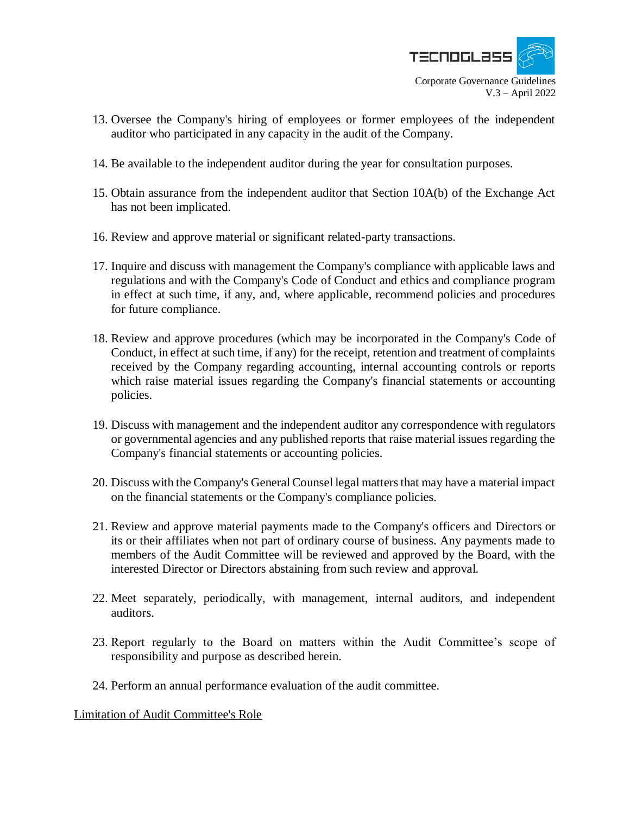

V.3 – April 2022

- 13. Oversee the Company's hiring of employees or former employees of the independent auditor who participated in any capacity in the audit of the Company.
- 14. Be available to the independent auditor during the year for consultation purposes.
- 15. Obtain assurance from the independent auditor that Section 10A(b) of the Exchange Act has not been implicated.
- 16. Review and approve material or significant related-party transactions.
- 17. Inquire and discuss with management the Company's compliance with applicable laws and regulations and with the Company's Code of Conduct and ethics and compliance program in effect at such time, if any, and, where applicable, recommend policies and procedures for future compliance.
- 18. Review and approve procedures (which may be incorporated in the Company's Code of Conduct, in effect at such time, if any) for the receipt, retention and treatment of complaints received by the Company regarding accounting, internal accounting controls or reports which raise material issues regarding the Company's financial statements or accounting policies.
- 19. Discuss with management and the independent auditor any correspondence with regulators or governmental agencies and any published reports that raise material issues regarding the Company's financial statements or accounting policies.
- 20. Discuss with the Company's General Counsel legal matters that may have a material impact on the financial statements or the Company's compliance policies.
- 21. Review and approve material payments made to the Company's officers and Directors or its or their affiliates when not part of ordinary course of business. Any payments made to members of the Audit Committee will be reviewed and approved by the Board, with the interested Director or Directors abstaining from such review and approval.
- 22. Meet separately, periodically, with management, internal auditors, and independent auditors.
- 23. Report regularly to the Board on matters within the Audit Committee's scope of responsibility and purpose as described herein.
- 24. Perform an annual performance evaluation of the audit committee.

Limitation of Audit Committee's Role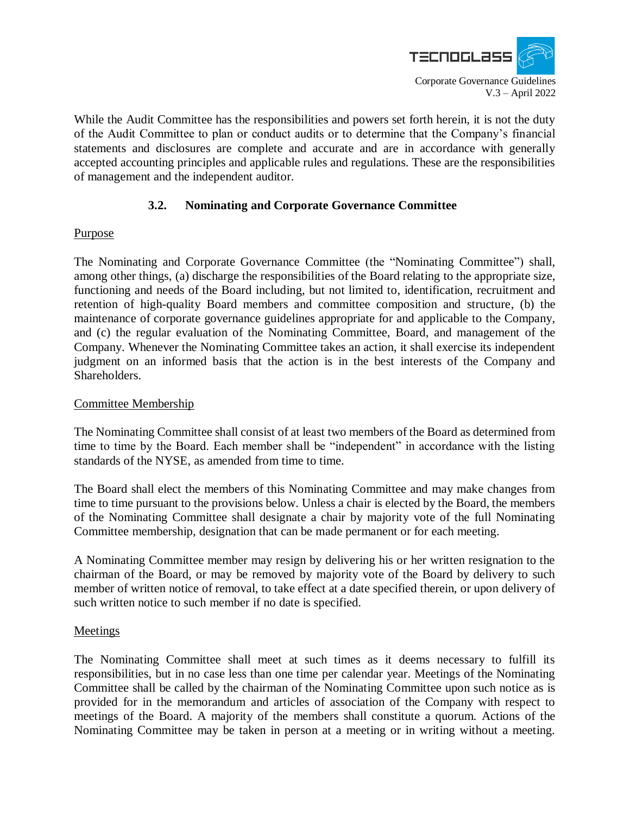

While the Audit Committee has the responsibilities and powers set forth herein, it is not the duty of the Audit Committee to plan or conduct audits or to determine that the Company's financial statements and disclosures are complete and accurate and are in accordance with generally accepted accounting principles and applicable rules and regulations. These are the responsibilities of management and the independent auditor.

## **3.2. Nominating and Corporate Governance Committee**

## **Purpose**

The Nominating and Corporate Governance Committee (the "Nominating Committee") shall, among other things, (a) discharge the responsibilities of the Board relating to the appropriate size, functioning and needs of the Board including, but not limited to, identification, recruitment and retention of high-quality Board members and committee composition and structure, (b) the maintenance of corporate governance guidelines appropriate for and applicable to the Company, and (c) the regular evaluation of the Nominating Committee, Board, and management of the Company. Whenever the Nominating Committee takes an action, it shall exercise its independent judgment on an informed basis that the action is in the best interests of the Company and Shareholders.

## Committee Membership

The Nominating Committee shall consist of at least two members of the Board as determined from time to time by the Board. Each member shall be "independent" in accordance with the listing standards of the NYSE, as amended from time to time.

The Board shall elect the members of this Nominating Committee and may make changes from time to time pursuant to the provisions below. Unless a chair is elected by the Board, the members of the Nominating Committee shall designate a chair by majority vote of the full Nominating Committee membership, designation that can be made permanent or for each meeting.

A Nominating Committee member may resign by delivering his or her written resignation to the chairman of the Board, or may be removed by majority vote of the Board by delivery to such member of written notice of removal, to take effect at a date specified therein, or upon delivery of such written notice to such member if no date is specified.

## **Meetings**

The Nominating Committee shall meet at such times as it deems necessary to fulfill its responsibilities, but in no case less than one time per calendar year. Meetings of the Nominating Committee shall be called by the chairman of the Nominating Committee upon such notice as is provided for in the memorandum and articles of association of the Company with respect to meetings of the Board. A majority of the members shall constitute a quorum. Actions of the Nominating Committee may be taken in person at a meeting or in writing without a meeting.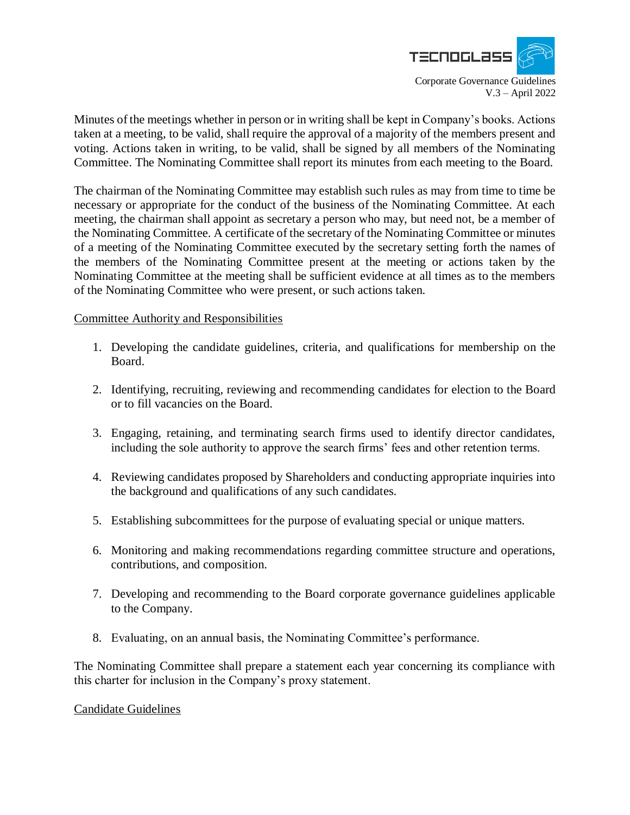

Minutes of the meetings whether in person or in writing shall be kept in Company's books. Actions taken at a meeting, to be valid, shall require the approval of a majority of the members present and voting. Actions taken in writing, to be valid, shall be signed by all members of the Nominating Committee. The Nominating Committee shall report its minutes from each meeting to the Board.

The chairman of the Nominating Committee may establish such rules as may from time to time be necessary or appropriate for the conduct of the business of the Nominating Committee. At each meeting, the chairman shall appoint as secretary a person who may, but need not, be a member of the Nominating Committee. A certificate of the secretary of the Nominating Committee or minutes of a meeting of the Nominating Committee executed by the secretary setting forth the names of the members of the Nominating Committee present at the meeting or actions taken by the Nominating Committee at the meeting shall be sufficient evidence at all times as to the members of the Nominating Committee who were present, or such actions taken.

#### Committee Authority and Responsibilities

- 1. Developing the candidate guidelines, criteria, and qualifications for membership on the Board.
- 2. Identifying, recruiting, reviewing and recommending candidates for election to the Board or to fill vacancies on the Board.
- 3. Engaging, retaining, and terminating search firms used to identify director candidates, including the sole authority to approve the search firms' fees and other retention terms.
- 4. Reviewing candidates proposed by Shareholders and conducting appropriate inquiries into the background and qualifications of any such candidates.
- 5. Establishing subcommittees for the purpose of evaluating special or unique matters.
- 6. Monitoring and making recommendations regarding committee structure and operations, contributions, and composition.
- 7. Developing and recommending to the Board corporate governance guidelines applicable to the Company.
- 8. Evaluating, on an annual basis, the Nominating Committee's performance.

The Nominating Committee shall prepare a statement each year concerning its compliance with this charter for inclusion in the Company's proxy statement.

## Candidate Guidelines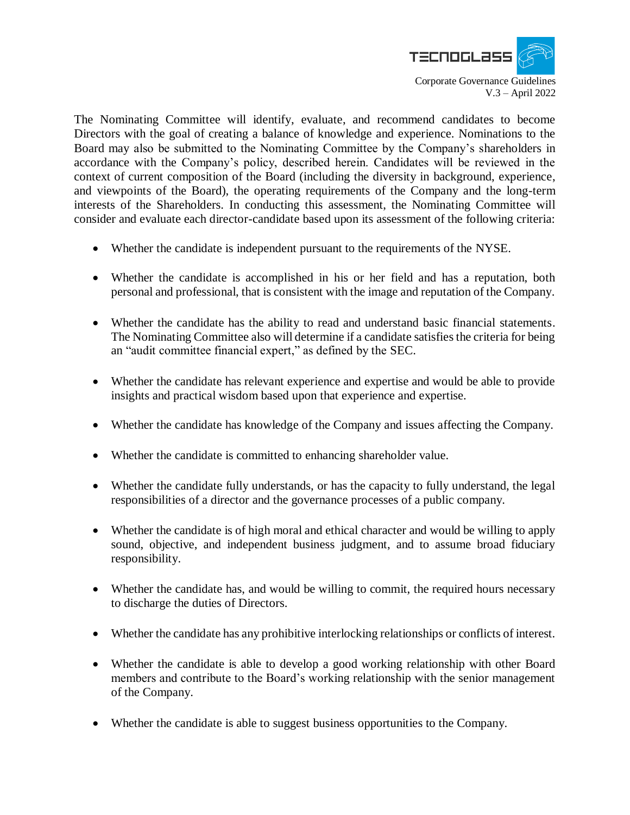

The Nominating Committee will identify, evaluate, and recommend candidates to become Directors with the goal of creating a balance of knowledge and experience. Nominations to the Board may also be submitted to the Nominating Committee by the Company's shareholders in accordance with the Company's policy, described herein. Candidates will be reviewed in the context of current composition of the Board (including the diversity in background, experience, and viewpoints of the Board), the operating requirements of the Company and the long-term interests of the Shareholders. In conducting this assessment, the Nominating Committee will consider and evaluate each director-candidate based upon its assessment of the following criteria:

- Whether the candidate is independent pursuant to the requirements of the NYSE.
- Whether the candidate is accomplished in his or her field and has a reputation, both personal and professional, that is consistent with the image and reputation of the Company.
- Whether the candidate has the ability to read and understand basic financial statements. The Nominating Committee also will determine if a candidate satisfies the criteria for being an "audit committee financial expert," as defined by the SEC.
- Whether the candidate has relevant experience and expertise and would be able to provide insights and practical wisdom based upon that experience and expertise.
- Whether the candidate has knowledge of the Company and issues affecting the Company.
- Whether the candidate is committed to enhancing shareholder value.
- Whether the candidate fully understands, or has the capacity to fully understand, the legal responsibilities of a director and the governance processes of a public company.
- Whether the candidate is of high moral and ethical character and would be willing to apply sound, objective, and independent business judgment, and to assume broad fiduciary responsibility.
- Whether the candidate has, and would be willing to commit, the required hours necessary to discharge the duties of Directors.
- Whether the candidate has any prohibitive interlocking relationships or conflicts of interest.
- Whether the candidate is able to develop a good working relationship with other Board members and contribute to the Board's working relationship with the senior management of the Company.
- Whether the candidate is able to suggest business opportunities to the Company.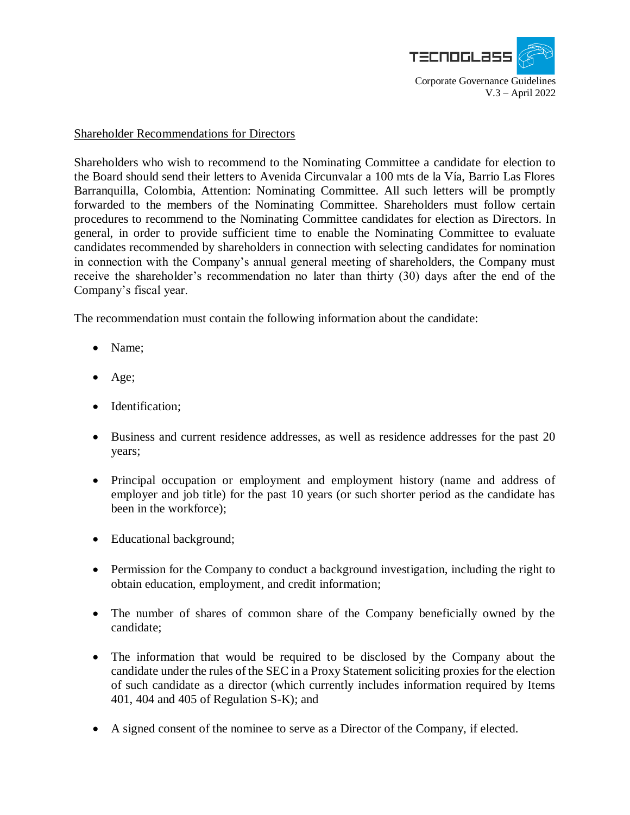

#### Shareholder Recommendations for Directors

Shareholders who wish to recommend to the Nominating Committee a candidate for election to the Board should send their letters to Avenida Circunvalar a 100 mts de la Vía, Barrio Las Flores Barranquilla, Colombia, Attention: Nominating Committee. All such letters will be promptly forwarded to the members of the Nominating Committee. Shareholders must follow certain procedures to recommend to the Nominating Committee candidates for election as Directors. In general, in order to provide sufficient time to enable the Nominating Committee to evaluate candidates recommended by shareholders in connection with selecting candidates for nomination in connection with the Company's annual general meeting of shareholders, the Company must receive the shareholder's recommendation no later than thirty (30) days after the end of the Company's fiscal year.

The recommendation must contain the following information about the candidate:

- Name:
- $\bullet$  Age;
- Identification;
- Business and current residence addresses, as well as residence addresses for the past 20 years;
- Principal occupation or employment and employment history (name and address of employer and job title) for the past 10 years (or such shorter period as the candidate has been in the workforce);
- Educational background;
- Permission for the Company to conduct a background investigation, including the right to obtain education, employment, and credit information;
- The number of shares of common share of the Company beneficially owned by the candidate;
- The information that would be required to be disclosed by the Company about the candidate under the rules of the SEC in a Proxy Statement soliciting proxies for the election of such candidate as a director (which currently includes information required by Items 401, 404 and 405 of Regulation S-K); and
- A signed consent of the nominee to serve as a Director of the Company, if elected.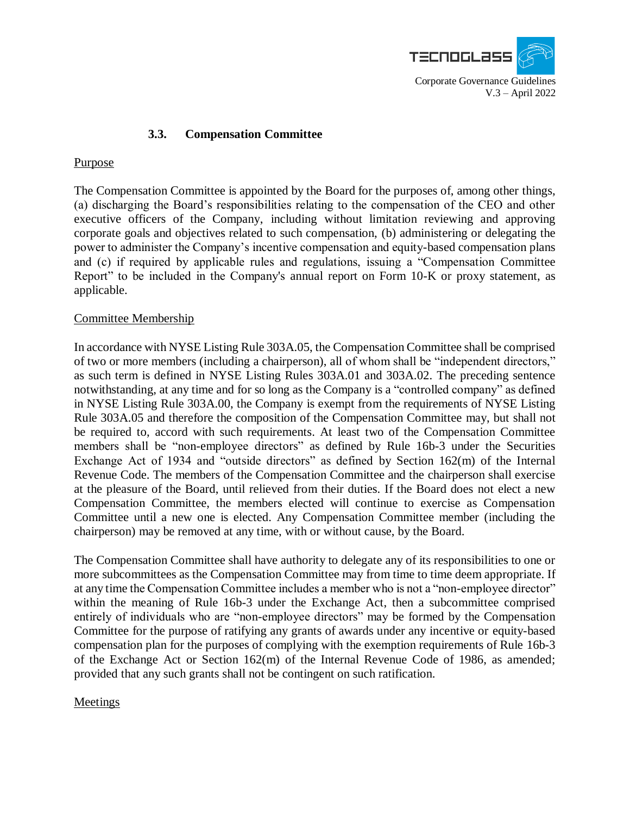

## **3.3. Compensation Committee**

## Purpose

The Compensation Committee is appointed by the Board for the purposes of, among other things, (a) discharging the Board's responsibilities relating to the compensation of the CEO and other executive officers of the Company, including without limitation reviewing and approving corporate goals and objectives related to such compensation, (b) administering or delegating the power to administer the Company's incentive compensation and equity-based compensation plans and (c) if required by applicable rules and regulations, issuing a "Compensation Committee Report" to be included in the Company's annual report on Form 10-K or proxy statement, as applicable.

## Committee Membership

In accordance with NYSE Listing Rule 303A.05, the Compensation Committee shall be comprised of two or more members (including a chairperson), all of whom shall be "independent directors," as such term is defined in NYSE Listing Rules 303A.01 and 303A.02. The preceding sentence notwithstanding, at any time and for so long as the Company is a "controlled company" as defined in NYSE Listing Rule 303A.00, the Company is exempt from the requirements of NYSE Listing Rule 303A.05 and therefore the composition of the Compensation Committee may, but shall not be required to, accord with such requirements. At least two of the Compensation Committee members shall be "non-employee directors" as defined by Rule 16b-3 under the Securities Exchange Act of 1934 and "outside directors" as defined by Section 162(m) of the Internal Revenue Code. The members of the Compensation Committee and the chairperson shall exercise at the pleasure of the Board, until relieved from their duties. If the Board does not elect a new Compensation Committee, the members elected will continue to exercise as Compensation Committee until a new one is elected. Any Compensation Committee member (including the chairperson) may be removed at any time, with or without cause, by the Board.

The Compensation Committee shall have authority to delegate any of its responsibilities to one or more subcommittees as the Compensation Committee may from time to time deem appropriate. If at any time the Compensation Committee includes a member who is not a "non-employee director" within the meaning of Rule 16b-3 under the Exchange Act, then a subcommittee comprised entirely of individuals who are "non-employee directors" may be formed by the Compensation Committee for the purpose of ratifying any grants of awards under any incentive or equity-based compensation plan for the purposes of complying with the exemption requirements of Rule 16b-3 of the Exchange Act or Section 162(m) of the Internal Revenue Code of 1986, as amended; provided that any such grants shall not be contingent on such ratification.

## Meetings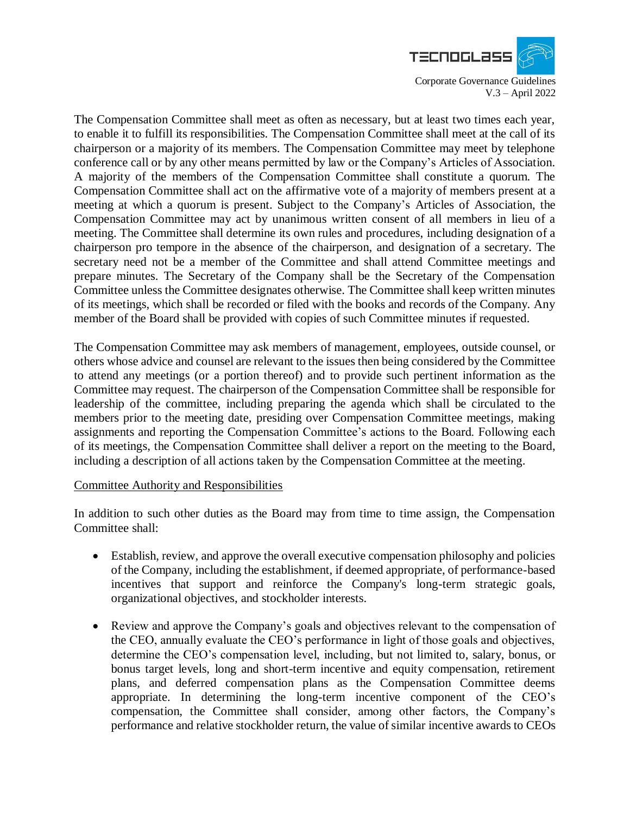

The Compensation Committee shall meet as often as necessary, but at least two times each year, to enable it to fulfill its responsibilities. The Compensation Committee shall meet at the call of its chairperson or a majority of its members. The Compensation Committee may meet by telephone conference call or by any other means permitted by law or the Company's Articles of Association. A majority of the members of the Compensation Committee shall constitute a quorum. The Compensation Committee shall act on the affirmative vote of a majority of members present at a meeting at which a quorum is present. Subject to the Company's Articles of Association, the Compensation Committee may act by unanimous written consent of all members in lieu of a meeting. The Committee shall determine its own rules and procedures, including designation of a chairperson pro tempore in the absence of the chairperson, and designation of a secretary. The secretary need not be a member of the Committee and shall attend Committee meetings and prepare minutes. The Secretary of the Company shall be the Secretary of the Compensation Committee unless the Committee designates otherwise. The Committee shall keep written minutes of its meetings, which shall be recorded or filed with the books and records of the Company. Any member of the Board shall be provided with copies of such Committee minutes if requested.

The Compensation Committee may ask members of management, employees, outside counsel, or others whose advice and counsel are relevant to the issues then being considered by the Committee to attend any meetings (or a portion thereof) and to provide such pertinent information as the Committee may request. The chairperson of the Compensation Committee shall be responsible for leadership of the committee, including preparing the agenda which shall be circulated to the members prior to the meeting date, presiding over Compensation Committee meetings, making assignments and reporting the Compensation Committee's actions to the Board. Following each of its meetings, the Compensation Committee shall deliver a report on the meeting to the Board, including a description of all actions taken by the Compensation Committee at the meeting.

#### Committee Authority and Responsibilities

In addition to such other duties as the Board may from time to time assign, the Compensation Committee shall:

- Establish, review, and approve the overall executive compensation philosophy and policies of the Company, including the establishment, if deemed appropriate, of performance-based incentives that support and reinforce the Company's long-term strategic goals, organizational objectives, and stockholder interests.
- Review and approve the Company's goals and objectives relevant to the compensation of the CEO, annually evaluate the CEO's performance in light of those goals and objectives, determine the CEO's compensation level, including, but not limited to, salary, bonus, or bonus target levels, long and short-term incentive and equity compensation, retirement plans, and deferred compensation plans as the Compensation Committee deems appropriate. In determining the long-term incentive component of the CEO's compensation, the Committee shall consider, among other factors, the Company's performance and relative stockholder return, the value of similar incentive awards to CEOs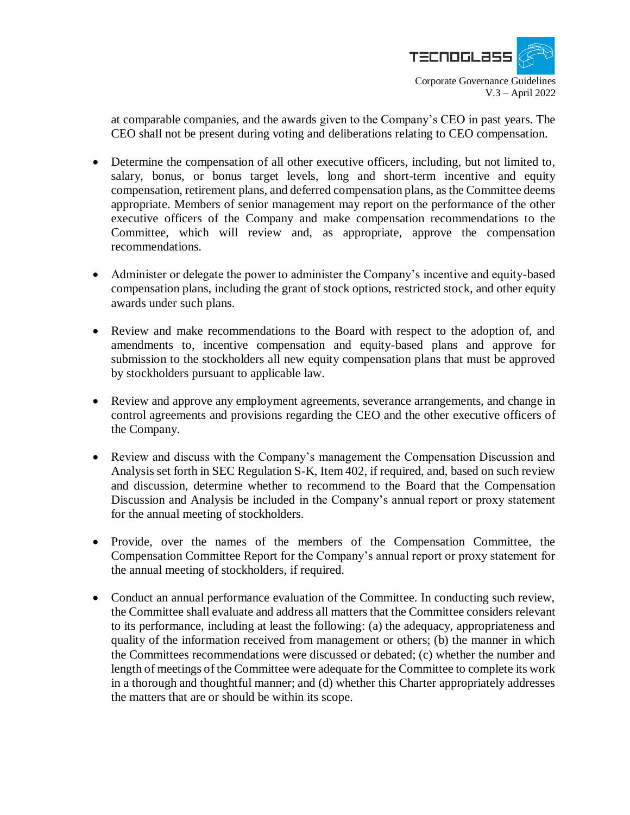

at comparable companies, and the awards given to the Company's CEO in past years. The CEO shall not be present during voting and deliberations relating to CEO compensation.

- Determine the compensation of all other executive officers, including, but not limited to, salary, bonus, or bonus target levels, long and short-term incentive and equity compensation, retirement plans, and deferred compensation plans, as the Committee deems appropriate. Members of senior management may report on the performance of the other executive officers of the Company and make compensation recommendations to the Committee, which will review and, as appropriate, approve the compensation recommendations.
- Administer or delegate the power to administer the Company's incentive and equity-based compensation plans, including the grant of stock options, restricted stock, and other equity awards under such plans.
- Review and make recommendations to the Board with respect to the adoption of, and amendments to, incentive compensation and equity-based plans and approve for submission to the stockholders all new equity compensation plans that must be approved by stockholders pursuant to applicable law.
- Review and approve any employment agreements, severance arrangements, and change in control agreements and provisions regarding the CEO and the other executive officers of the Company.
- Review and discuss with the Company's management the Compensation Discussion and Analysis set forth in SEC Regulation S-K, Item 402, if required, and, based on such review and discussion, determine whether to recommend to the Board that the Compensation Discussion and Analysis be included in the Company's annual report or proxy statement for the annual meeting of stockholders.
- Provide, over the names of the members of the Compensation Committee, the Compensation Committee Report for the Company's annual report or proxy statement for the annual meeting of stockholders, if required.
- Conduct an annual performance evaluation of the Committee. In conducting such review, the Committee shall evaluate and address all matters that the Committee considers relevant to its performance, including at least the following: (a) the adequacy, appropriateness and quality of the information received from management or others; (b) the manner in which the Committees recommendations were discussed or debated; (c) whether the number and length of meetings of the Committee were adequate for the Committee to complete its work in a thorough and thoughtful manner; and (d) whether this Charter appropriately addresses the matters that are or should be within its scope.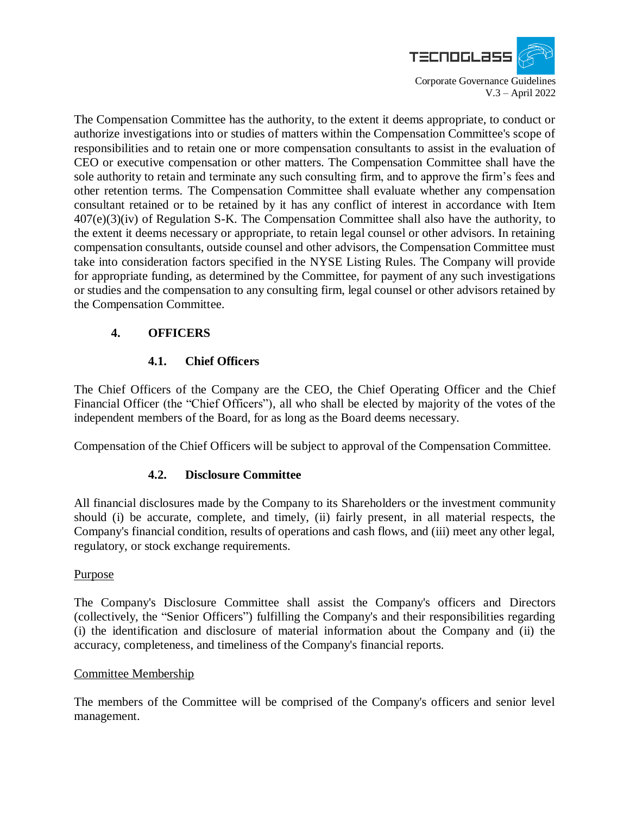

The Compensation Committee has the authority, to the extent it deems appropriate, to conduct or authorize investigations into or studies of matters within the Compensation Committee's scope of responsibilities and to retain one or more compensation consultants to assist in the evaluation of CEO or executive compensation or other matters. The Compensation Committee shall have the sole authority to retain and terminate any such consulting firm, and to approve the firm's fees and other retention terms. The Compensation Committee shall evaluate whether any compensation consultant retained or to be retained by it has any conflict of interest in accordance with Item 407(e)(3)(iv) of Regulation S-K. The Compensation Committee shall also have the authority, to the extent it deems necessary or appropriate, to retain legal counsel or other advisors. In retaining compensation consultants, outside counsel and other advisors, the Compensation Committee must take into consideration factors specified in the NYSE Listing Rules. The Company will provide for appropriate funding, as determined by the Committee, for payment of any such investigations or studies and the compensation to any consulting firm, legal counsel or other advisors retained by the Compensation Committee.

## **4. OFFICERS**

# **4.1. Chief Officers**

The Chief Officers of the Company are the CEO, the Chief Operating Officer and the Chief Financial Officer (the "Chief Officers"), all who shall be elected by majority of the votes of the independent members of the Board, for as long as the Board deems necessary.

Compensation of the Chief Officers will be subject to approval of the Compensation Committee.

## **4.2. Disclosure Committee**

All financial disclosures made by the Company to its Shareholders or the investment community should (i) be accurate, complete, and timely, (ii) fairly present, in all material respects, the Company's financial condition, results of operations and cash flows, and (iii) meet any other legal, regulatory, or stock exchange requirements.

## Purpose

The Company's Disclosure Committee shall assist the Company's officers and Directors (collectively, the "Senior Officers") fulfilling the Company's and their responsibilities regarding (i) the identification and disclosure of material information about the Company and (ii) the accuracy, completeness, and timeliness of the Company's financial reports.

## Committee Membership

The members of the Committee will be comprised of the Company's officers and senior level management.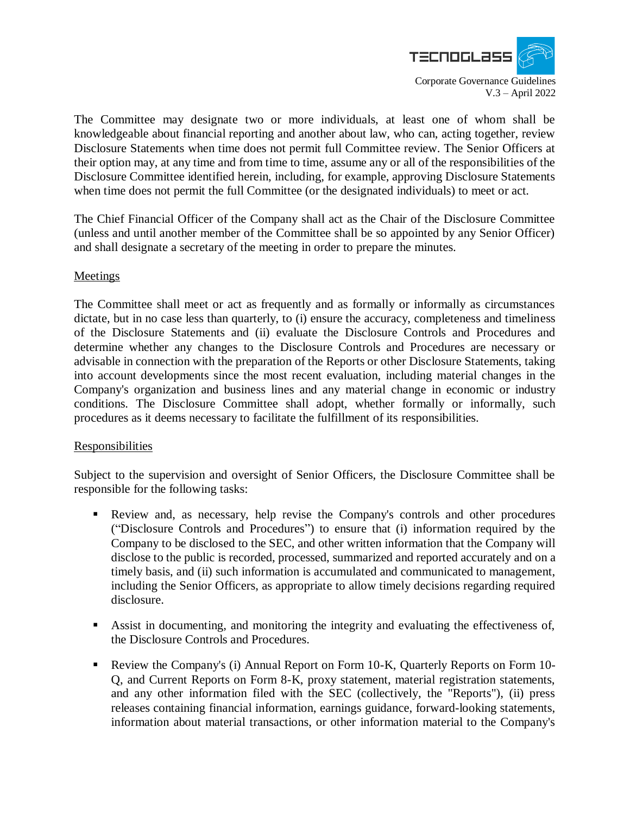

The Committee may designate two or more individuals, at least one of whom shall be knowledgeable about financial reporting and another about law, who can, acting together, review Disclosure Statements when time does not permit full Committee review. The Senior Officers at their option may, at any time and from time to time, assume any or all of the responsibilities of the Disclosure Committee identified herein, including, for example, approving Disclosure Statements when time does not permit the full Committee (or the designated individuals) to meet or act.

The Chief Financial Officer of the Company shall act as the Chair of the Disclosure Committee (unless and until another member of the Committee shall be so appointed by any Senior Officer) and shall designate a secretary of the meeting in order to prepare the minutes.

## Meetings

The Committee shall meet or act as frequently and as formally or informally as circumstances dictate, but in no case less than quarterly, to (i) ensure the accuracy, completeness and timeliness of the Disclosure Statements and (ii) evaluate the Disclosure Controls and Procedures and determine whether any changes to the Disclosure Controls and Procedures are necessary or advisable in connection with the preparation of the Reports or other Disclosure Statements, taking into account developments since the most recent evaluation, including material changes in the Company's organization and business lines and any material change in economic or industry conditions. The Disclosure Committee shall adopt, whether formally or informally, such procedures as it deems necessary to facilitate the fulfillment of its responsibilities.

## **Responsibilities**

Subject to the supervision and oversight of Senior Officers, the Disclosure Committee shall be responsible for the following tasks:

- Review and, as necessary, help revise the Company's controls and other procedures ("Disclosure Controls and Procedures") to ensure that (i) information required by the Company to be disclosed to the SEC, and other written information that the Company will disclose to the public is recorded, processed, summarized and reported accurately and on a timely basis, and (ii) such information is accumulated and communicated to management, including the Senior Officers, as appropriate to allow timely decisions regarding required disclosure.
- Assist in documenting, and monitoring the integrity and evaluating the effectiveness of, the Disclosure Controls and Procedures.
- Review the Company's (i) Annual Report on Form 10-K, Quarterly Reports on Form 10- Q, and Current Reports on Form 8-K, proxy statement, material registration statements, and any other information filed with the SEC (collectively, the "Reports"), (ii) press releases containing financial information, earnings guidance, forward-looking statements, information about material transactions, or other information material to the Company's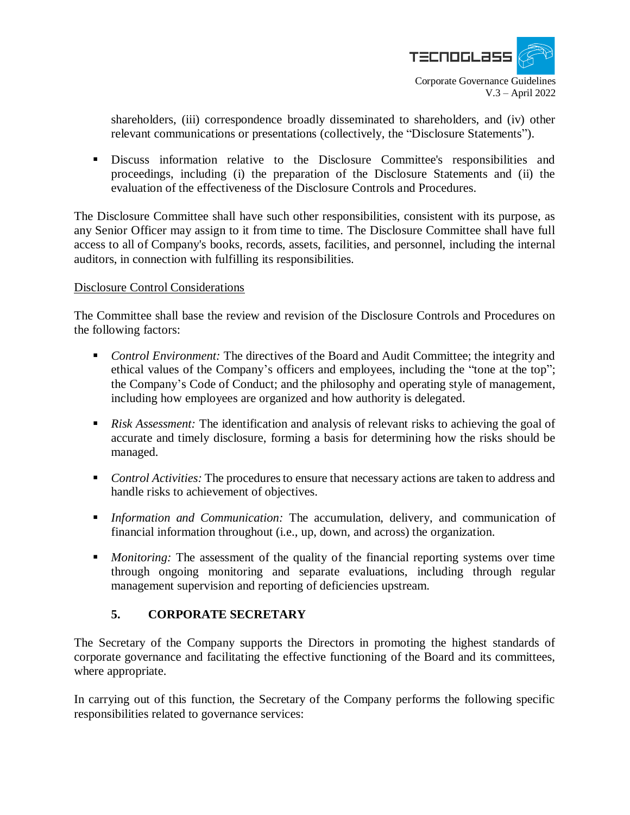

shareholders, (iii) correspondence broadly disseminated to shareholders, and (iv) other relevant communications or presentations (collectively, the "Disclosure Statements").

 Discuss information relative to the Disclosure Committee's responsibilities and proceedings, including (i) the preparation of the Disclosure Statements and (ii) the evaluation of the effectiveness of the Disclosure Controls and Procedures.

The Disclosure Committee shall have such other responsibilities, consistent with its purpose, as any Senior Officer may assign to it from time to time. The Disclosure Committee shall have full access to all of Company's books, records, assets, facilities, and personnel, including the internal auditors, in connection with fulfilling its responsibilities.

## Disclosure Control Considerations

The Committee shall base the review and revision of the Disclosure Controls and Procedures on the following factors:

- *Control Environment:* The directives of the Board and Audit Committee; the integrity and ethical values of the Company's officers and employees, including the "tone at the top"; the Company's Code of Conduct; and the philosophy and operating style of management, including how employees are organized and how authority is delegated.
- **Risk Assessment:** The identification and analysis of relevant risks to achieving the goal of accurate and timely disclosure, forming a basis for determining how the risks should be managed.
- *Control Activities:* The procedures to ensure that necessary actions are taken to address and handle risks to achievement of objectives.
- *Information and Communication:* The accumulation, delivery, and communication of financial information throughout (i.e., up, down, and across) the organization.
- **Monitoring:** The assessment of the quality of the financial reporting systems over time through ongoing monitoring and separate evaluations, including through regular management supervision and reporting of deficiencies upstream.

## **5. CORPORATE SECRETARY**

The Secretary of the Company supports the Directors in promoting the highest standards of corporate governance and facilitating the effective functioning of the Board and its committees, where appropriate.

In carrying out of this function, the Secretary of the Company performs the following specific responsibilities related to governance services: